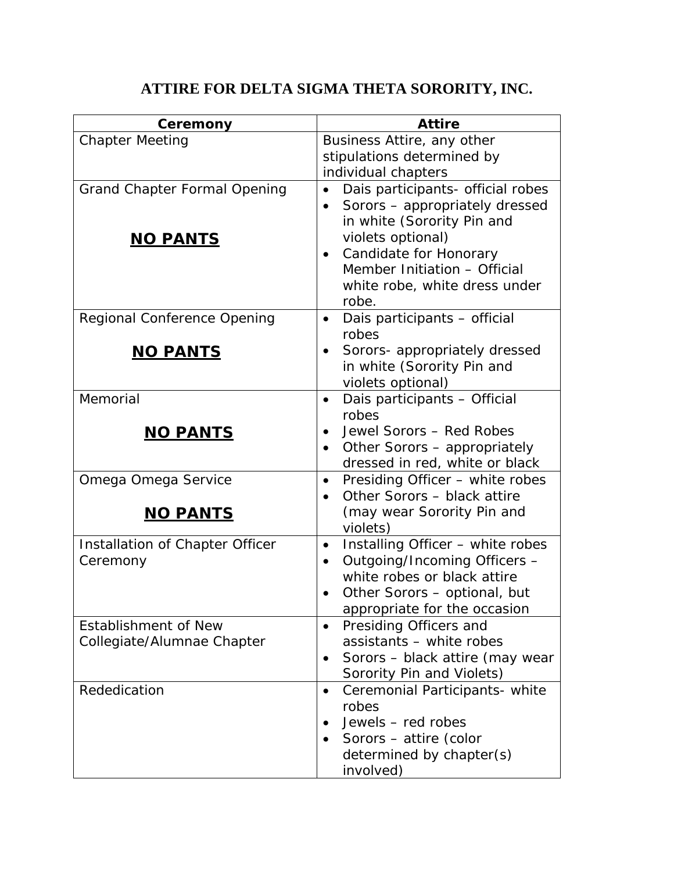## **ATTIRE FOR DELTA SIGMA THETA SORORITY, INC.**

| Ceremony                            | <b>Attire</b>                                      |
|-------------------------------------|----------------------------------------------------|
| <b>Chapter Meeting</b>              | Business Attire, any other                         |
|                                     | stipulations determined by                         |
|                                     | individual chapters                                |
| <b>Grand Chapter Formal Opening</b> | Dais participants- official robes                  |
|                                     | Sorors - appropriately dressed                     |
|                                     | in white (Sorority Pin and                         |
| <b>NO PANTS</b>                     | violets optional)                                  |
|                                     | Candidate for Honorary<br>$\bullet$                |
|                                     | Member Initiation - Official                       |
|                                     | white robe, white dress under                      |
|                                     | robe.                                              |
| <b>Regional Conference Opening</b>  | Dais participants - official<br>$\bullet$          |
|                                     | robes                                              |
| <u>NO PANTS</u>                     | Sorors- appropriately dressed<br>٠                 |
|                                     | in white (Sorority Pin and                         |
| Memorial                            | violets optional)                                  |
|                                     | Dais participants - Official<br>$\bullet$<br>robes |
|                                     | Jewel Sorors - Red Robes<br>$\bullet$              |
| <u>NO PANTS</u>                     | Other Sorors - appropriately                       |
|                                     | dressed in red, white or black                     |
| Omega Omega Service                 | Presiding Officer - white robes                    |
|                                     | Other Sorors - black attire                        |
| <u>NO PANTS</u>                     | (may wear Sorority Pin and                         |
|                                     | violets)                                           |
| Installation of Chapter Officer     | Installing Officer - white robes<br>$\bullet$      |
| Ceremony                            | Outgoing/Incoming Officers -<br>$\bullet$          |
|                                     | white robes or black attire                        |
|                                     | Other Sorors - optional, but                       |
|                                     | appropriate for the occasion                       |
| <b>Establishment of New</b>         | Presiding Officers and<br>$\bullet$                |
| Collegiate/Alumnae Chapter          | assistants - white robes                           |
|                                     | Sorors - black attire (may wear<br>$\bullet$       |
|                                     | Sorority Pin and Violets)                          |
| Rededication                        | Ceremonial Participants- white<br>$\bullet$        |
|                                     | robes                                              |
|                                     | Jewels - red robes                                 |
|                                     | Sorors - attire (color<br>$\bullet$                |
|                                     | determined by chapter(s)                           |
|                                     | involved)                                          |